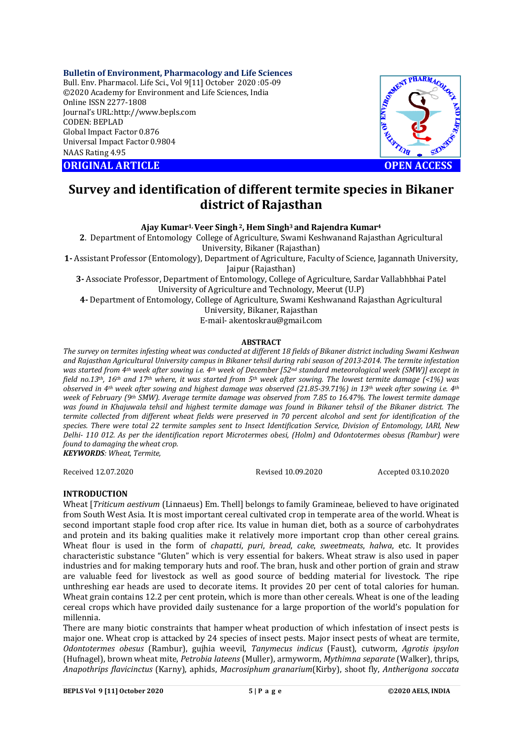## **Bulletin of Environment, Pharmacology and Life Sciences**

Bull. Env. Pharmacol. Life Sci., Vol 9[11] October 2020 :05-09 ©2020 Academy for Environment and Life Sciences, India Online ISSN 2277-1808 Journal's URL:<http://www.bepls.com> CODEN: BEPLAD Global Impact Factor 0.876 Universal Impact Factor 0.9804 NAAS Rating 4.95

**ORIGINAL ARTICLE OPEN ACCESS**



# **Survey and identification of different termite species in Bikaner district of Rajasthan**

**Ajay Kumar1, Veer Singh2, Hem Singh3 and Rajendra Kumar<sup>4</sup>**

**2**. Department of Entomology College of Agriculture, Swami Keshwanand Rajasthan Agricultural University, Bikaner (Rajasthan)

**1-** Assistant Professor (Entomology), Department of Agriculture, Faculty of Science, Jagannath University, Jaipur (Rajasthan)

**3-** Associate Professor, Department of Entomology, College of Agriculture, Sardar Vallabhbhai Patel University of Agriculture and Technology, Meerut (U.P)

**4-** Department of Entomology, College of Agriculture, Swami Keshwanand Rajasthan Agricultural University, Bikaner, Rajasthan

E-mail- [akentoskrau@gmail.com](mailto:akentoskrau@gmail.com)

## **ABSTRACT**

*The survey on termites infesting wheat was conducted at different 18 fields of Bikaner district including Swami Keshwan and Rajasthan Agricultural University campus in Bikaner tehsil during rabi season of 2013-2014. The termite infestation was started from 4th week after sowing i.e. 4th week of December [52nd standard meteorological week (SMW)] except in field no.13th, 16th and 17th where, it was started from 5th week after sowing. The lowest termite damage (<1%) was observed in 4th week after sowing and highest damage was observed (21.85-39.71%) in 13th week after sowing i.e. 4th week of February (9th SMW). Average termite damage was observed from 7.85 to 16.47%. The lowest termite damage was found in Khajuwala tehsil and highest termite damage was found in Bikaner tehsil of the Bikaner district. The termite collected from different wheat fields were preserved in 70 percent alcohol and sent for identification of the species. There were total 22 termite samples sent to Insect Identification Service, Division of Entomology, IARI, New Delhi- 110 012. As per the identification report Microtermes obesi, (Holm) and Odontotermes obesus (Rambur) were found to damaging the wheat crop. KEYWORDS: Wheat, Termite,*

Received 12.07.2020 Revised 10.09.2020 Accepted 03.10.2020

## **INTRODUCTION**

Wheat [*Triticum aestivum* (Linnaeus) Em. Thell] belongs to family Gramineae*,* believed to have originated from South West Asia. It is most important cereal cultivated crop in temperate area of the world. Wheat is second important staple food crop after rice. Its value in human diet, both as a source of carbohydrates and protein and its baking qualities make it relatively more important crop than other cereal grains. Wheat flour is used in the form of *chapatti*, *puri*, *bread*, *cake*, *sweetmeats*, *halwa*, etc. It provides characteristic substance "Gluten" which is very essential for bakers. Wheat straw is also used in paper industries and for making temporary huts and roof. The bran, husk and other portion of grain and straw are valuable feed for livestock as well as good source of bedding material for livestock. The ripe unthreshing ear heads are used to decorate items. It provides 20 per cent of total calories for human. Wheat grain contains 12.2 per cent protein, which is more than other cereals. Wheat is one of the leading cereal crops which have provided daily sustenance for a large proportion of the world's population for millennia.

There are many biotic constraints that hamper wheat production of which infestation of insect pests is major one. Wheat crop is attacked by 24 species of insect pests. Major insect pests of wheat are termite, *Odontotermes obesus* (Rambur), gujhia weevil, *Tanymecus indicus* (Faust), cutworm, *Agrotis ipsylon*  (Hufnagel), brown wheat mite, *Petrobia lateens* (Muller), armyworm, *Mythimna separate* (Walker), thrips, *Anapothrips flavicinctus* (Karny), aphids, *Macrosiphum granarium*(Kirby), shoot fly, *Antherigona soccata*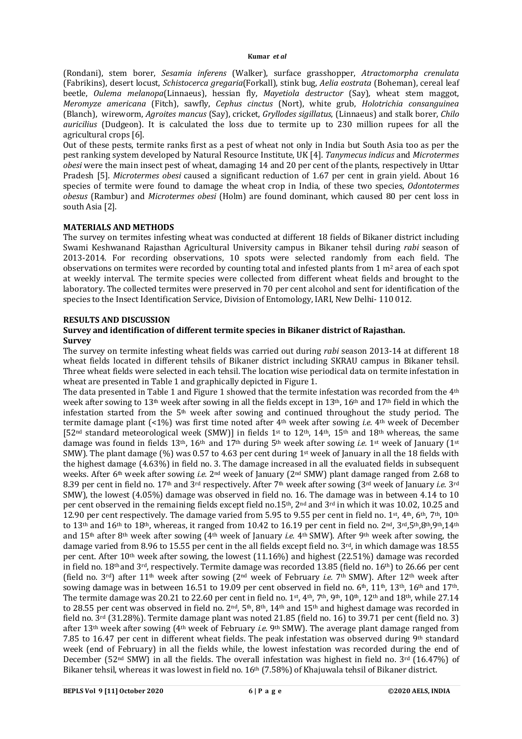(Rondani), stem borer, *Sesamia inferens* (Walker), surface grasshopper, *Atractomorpha crenulata* (Fabrikins), desert locust, *Schistocerca gregaria*(Forkall), stink bug, *Aelia eostrata* (Boheman), cereal leaf beetle, *Oulema melanopa*(Linnaeus), hessian fly, *Mayetiola destructor* (Say)*,* wheat stem maggot, *Meromyze americana* (Fitch), sawfly, *Cephus cinctus* (Nort), white grub, *Holotrichia consanguinea*  (Blanch), wireworm, *Agroites mancus* (Say), cricket, *Gryllodes sigillatus*, (Linnaeus) and stalk borer, *Chilo auricilius* (Dudgeon). It is calculated the loss due to termite up to 230 million rupees for all the agricultural crops [6].

Out of these pests, termite ranks first as a pest of wheat not only in India but South Asia too as per the pest ranking system developed by Natural Resource Institute, UK [4]. *Tanymecus indicus* and *Microtermes obesi* were the main insect pest of wheat, damaging 14 and 20 per cent of the plants, respectively in Uttar Pradesh [5]. *Microtermes obesi* caused a significant reduction of 1.67 per cent in grain yield. About 16 species of termite were found to damage the wheat crop in India, of these two species, *Odontotermes obesus* (Rambur) and *Microtermes obesi* (Holm) are found dominant, which caused 80 per cent loss in south Asia [2].

# **MATERIALS AND METHODS**

The survey on termites infesting wheat was conducted at different 18 fields of Bikaner district including Swami Keshwanand Rajasthan Agricultural University campus in Bikaner tehsil during *rabi* season of 2013-2014. For recording observations, 10 spots were selected randomly from each field. The observations on termites were recorded by counting total and infested plants from  $1 \text{ m}^2$  area of each spot at weekly interval. The termite species were collected from different wheat fields and brought to the laboratory. The collected termites were preserved in 70 per cent alcohol and sent for identification of the species to the Insect Identification Service, Division of Entomology, IARI, New Delhi- 110 012.

## **RESULTS AND DISCUSSION**

# **Survey and identification of different termite species in Bikaner district of Rajasthan. Survey**

The survey on termite infesting wheat fields was carried out during *rabi* season 2013-14 at different 18 wheat fields located in different tehsils of Bikaner district including SKRAU campus in Bikaner tehsil. Three wheat fields were selected in each tehsil. The location wise periodical data on termite infestation in wheat are presented in Table 1 and graphically depicted in Figure 1.

The data presented in Table 1 and Figure 1 showed that the termite infestation was recorded from the  $4<sup>th</sup>$ week after sowing to 13th week after sowing in all the fields except in 13th, 16th and 17th field in which the infestation started from the 5th week after sowing and continued throughout the study period. The termite damage plant (<1%) was first time noted after 4th week after sowing *i.e.* 4th week of December [52nd standard meteorological week (SMW)] in fields 1st to 12th, 14th, 15th and 18th whereas, the same damage was found in fields 13th, 16th and 17th during 5th week after sowing *i.e.* 1st week of January (1st SMW). The plant damage (%) was 0.57 to 4.63 per cent during 1st week of January in all the 18 fields with the highest damage (4.63%) in field no. 3. The damage increased in all the evaluated fields in subsequent weeks. After 6th week after sowing *i.e.* 2nd week of January (2nd SMW) plant damage ranged from 2.68 to 8.39 per cent in field no. 17th and 3rd respectively. After 7th week after sowing (3rd week of January *i.e*. 3rd SMW), the lowest (4.05%) damage was observed in field no. 16. The damage was in between 4.14 to 10 per cent observed in the remaining fields except field no.15<sup>th</sup>, 2<sup>nd</sup> and 3<sup>rd</sup> in which it was 10.02, 10.25 and 12.90 per cent respectively. The damage varied from 5.95 to 9.55 per cent in field no. 1st, 4th, 6th, 7th, 10th to 13<sup>th</sup> and 16<sup>th</sup> to 18<sup>th</sup>, whereas, it ranged from 10.42 to 16.19 per cent in field no. 2<sup>nd</sup>, 3<sup>rd</sup>, 5<sup>th</sup>,8<sup>th</sup>,9<sup>th</sup>,14<sup>th</sup> and 15th after 8th week after sowing (4th week of January *i.e.* 4th SMW). After 9th week after sowing, the damage varied from 8.96 to 15.55 per cent in the all fields except field no.  $3<sup>rd</sup>$ , in which damage was 18.55 per cent. After 10th week after sowing, the lowest (11.16%) and highest (22.51%) damage was recorded in field no. 18th and 3rd, respectively. Termite damage was recorded 13.85 (field no. 16th) to 26.66 per cent (field no. 3rd) after 11th week after sowing (2nd week of February *i.e.* 7th SMW). After 12th week after sowing damage was in between 16.51 to 19.09 per cent observed in field no. 6<sup>th</sup>, 11<sup>th</sup>, 13<sup>th</sup>, 16<sup>th</sup> and 17<sup>th</sup>. The termite damage was 20.21 to 22.60 per cent in field no. 1st, 4th, 7th, 9th, 10th, 12th and 18th, while 27.14 to 28.55 per cent was observed in field no. 2<sup>nd</sup>, 5<sup>th</sup>, 8<sup>th</sup>, 14<sup>th</sup> and 15<sup>th</sup> and highest damage was recorded in field no. 3rd (31.28%). Termite damage plant was noted 21.85 (field no. 16) to 39.71 per cent (field no. 3) after 13th week after sowing (4th week of February *i.e.* 9th SMW). The average plant damage ranged from 7.85 to 16.47 per cent in different wheat fields. The peak infestation was observed during  $9<sup>th</sup>$  standard week (end of February) in all the fields while, the lowest infestation was recorded during the end of December (52<sup>nd</sup> SMW) in all the fields. The overall infestation was highest in field no. 3<sup>rd</sup> (16.47%) of Bikaner tehsil, whereas it was lowest in field no. 16th (7.58%) of Khajuwala tehsil of Bikaner district.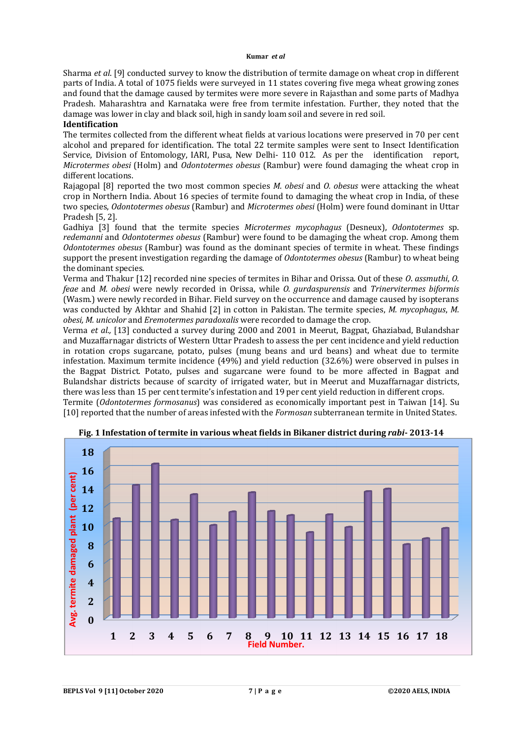#### **Kumar** *et al*

Sharma *et al*. [9] conducted survey to know the distribution of termite damage on wheat crop in different parts of India. A total of 1075 fields were surveyed in 11 states covering five mega wheat growing zones and found that the damage caused by termites were more severe in Rajasthan and some parts of Madhya Pradesh. Maharashtra and Karnataka were free from termite infestation. Further, they noted that the damage was lower in clay and black soil, high in sandy loam soil and severe in red soil.

# **Identification**

The termites collected from the different wheat fields at various locations were preserved in 70 per cent alcohol and prepared for identification. The total 22 termite samples were sent to Insect Identification Service, Division of Entomology, IARI, Pusa, New Delhi- 110 012. As per the identification report, *Microtermes obesi* (Holm) and *Odontotermes obesus* (Rambur) were found damaging the wheat crop in different locations.

Rajagopal [8] reported the two most common species *M. obesi* and *O. obesus* were attacking the wheat crop in Northern India. About 16 species of termite found to damaging the wheat crop in India, of these two species, *Odontotermes obesus* (Rambur) and *Microtermes obesi* (Holm) were found dominant in Uttar Pradesh [5, 2].

Gadhiya [3] found that the termite species *Microtermes mycophagus* (Desneux), *Odontotermes* sp. *redemanni* and *Odontotermes obesus* (Rambur) were found to be damaging the wheat crop. Among them *Odontotermes obesus* (Rambur) was found as the dominant species of termite in wheat. These findings support the present investigation regarding the damage of *Odontotermes obesus* (Rambur) to wheat being the dominant species.

Verma and Thakur [12] recorded nine species of termites in Bihar and Orissa. Out of these *O*. *assmuthi*, *O. feae* and *M. obesi* were newly recorded in Orissa, while *O. gurdaspurensis* and *Trinervitermes biformis* (Wasm.) were newly recorded in Bihar. Field survey on the occurrence and damage caused by isopterans was conducted by Akhtar and Shahid [2] in cotton in Pakistan. The termite species, *M. mycophagus*, *M. obesi, M. unicolor* and *Eremotermes paradoxalis* were recorded to damage the crop.

Verma *et al.,* [13] conducted a survey during 2000 and 2001 in Meerut, Bagpat, Ghaziabad, Bulandshar and Muzaffarnagar districts of Western Uttar Pradesh to assess the per cent incidence and yield reduction in rotation crops sugarcane, potato, pulses (mung beans and urd beans) and wheat due to termite infestation. Maximum termite incidence (49%) and yield reduction (32.6%) were observed in pulses in the Bagpat District. Potato, pulses and sugarcane were found to be more affected in Bagpat and Bulandshar districts because of scarcity of irrigated water, but in Meerut and Muzaffarnagar districts, there was less than 15 per cent termite's infestation and 19 per cent yield reduction in different crops. Termite (*Odontotermes formosanus*) was considered as economically important pest in Taiwan [14]. Su [10] reported that the number of areas infested with the *Formosan* subterranean termite in United States.



**Fig. 1 Infestation of termite in various wheat fields in Bikaner district during** *rabi***- 2013-14**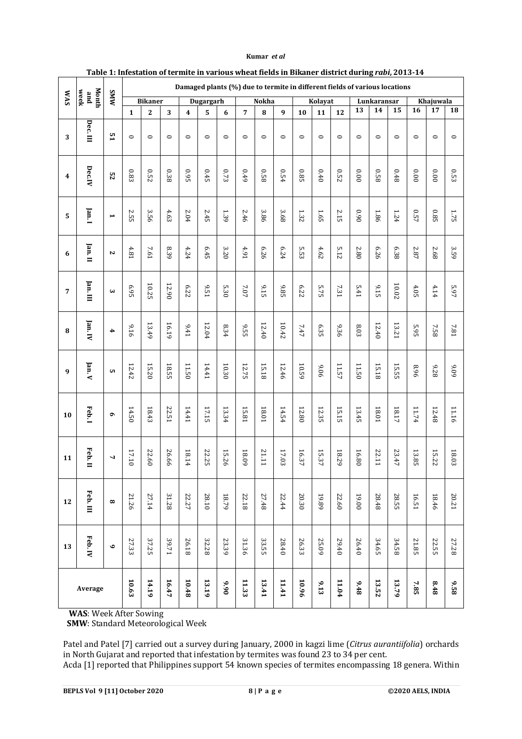|                  | Month<br>week<br>pue | <b>MMS</b>            |                |             |         |                         |              |          | Damaged plants (%) due to termite in different fields of various locations |              |         |                |          |         |             |                  |              |                 |          |              |
|------------------|----------------------|-----------------------|----------------|-------------|---------|-------------------------|--------------|----------|----------------------------------------------------------------------------|--------------|---------|----------------|----------|---------|-------------|------------------|--------------|-----------------|----------|--------------|
| <b>SVM</b>       |                      |                       | <b>Bikaner</b> |             |         | Dugargarh               |              |          |                                                                            | Nokha        |         | Kolayat        |          |         | Lunkaransar |                  |              | Khajuwala       |          |              |
|                  |                      |                       | $\mathbf{1}$   | $\mathbf 2$ | 3       | $\overline{\mathbf{4}}$ | 5            | 6        | 7                                                                          | 8            | 9       | 10             | 11       | 12      | 13          | 14               | 15           | $\overline{16}$ | 17       | 18           |
| 3                | Dec.III              | 51                    | $\circ$        | $\circ$     | $\circ$ | $\circ$                 | $\circ$      | $\circ$  | $\circ$                                                                    | $\circ$      | $\circ$ | $\circ$        | $\circ$  | $\circ$ | $\circ$     | $\circ$          | $\circ$      | $\circ$         | $\circ$  | $\circ$      |
| $\boldsymbol{4}$ | Dec.IV               | 52                    | 0.83           | $0.52\,$    | 0.38    | 0.95                    | $0.45\,$     | $0.73\,$ | 0.49                                                                       | 0.58         | 0.54    | 0.85           | $0.40\,$ | 0.52    | 0.00        | 820              | $0.48\,$     | 0.00            | $0.00$   | $0.53\,$     |
| 5                | Jan. I               | $\blacktriangleright$ | <b>2.55</b>    | 3.56        | 4.63    | 2.04                    | 2.45         | 1.39     | 2.46                                                                       | 3.86         | 3.68    | 1.32           | 1.65     | 2.15    | 0.90        | 1.86             | 1.24         | 0.57            | $0.85\,$ | 1.75         |
| 6                | Jan. II              | $\mathbf{v}$          | 4.81           | 7.61        | 8.39    | 4.24                    | 6.45         | 3.20     | 4.91                                                                       | 6.26         | 6.24    | cл<br>i.<br>33 | 4.62     | 5.12    | 2.80        | 6.26             | 6.38         | 2.87            | 2.68     | 3.59         |
| 7                | Jan. III             | $\mathbf{\omega}$     | 6.95           | 10.25       | 12.90   | 6.22                    | 9.51         | 5.30     | $7.07$                                                                     | 9.15         | $9.85$  | 6.22           | 5.75     | 7.31    | 5.41        | 9.15             | $10.02\,$    | $4.05$          | 4.14     | 5.97         |
| 8                | Jan. IV              | 4                     | 916            | 13.49       | 16.19   | 9.41                    | 12.04        | 8.34     | <b>9.55</b>                                                                | 12.40        | 10.42   | 7.47           | 6.35     | 936     | 8.03        | 12.40            | 13.21        | 5.95            | 7.58     | 7.81         |
| 9                | Jan. V               | UТ.                   | 12.42          | 15.20       | 18.55   | 11.50                   | 14.41        | 10.30    | 12.75                                                                      | 15.18        | 12.46   | 10.59          | 906      | 11.57   | 11.50       | 15.18            | 15.55        | 96'8            | 9.28     | 60'6         |
| 10               | Feb.1                | $\sigma$              | 14.50          | 18.43       | 22.51   | 14.41                   | 17.15        | 13.34    | <b>15.81</b>                                                               | $18.01\,$    | 14.54   | 12.80          | 12.35    | 15.15   | 13.45       | $18.01\,$        | 18.17        | 11.74           | 12.48    | 11.16        |
| 11               | Feb. II              | $\overline{ }$        | 17.10          | 22.60       | 26.66   | 18.14                   | <b>22.25</b> | 15.26    | $60\,81$                                                                   | <b>21.11</b> | 17.03   | 16.37          | 15.37    | 18.29   | 16.80       | IT <sub>22</sub> | 23.47        | 13.85           | 15.22    | $18.03\,$    |
| 12               | Feb. III             | $\infty$              | 21.26          | 27.14       | 31.28   | 22.27                   | <b>28.10</b> | 18.79    | 22.18                                                                      | 27.48        | 2244    | 20.30          | 19.89    | 22.60   | 19.00       | 28.48            | <b>28.55</b> | 16.51           | 18.46    | <b>20.21</b> |
| 13               | Feb. IV              | $\bullet$             | 27.33          | 37.25       | 39.71   | 26.18                   | 32.28        | 23.39    | 31.36                                                                      | 33.55        | 28.40   | 26.33          | 25.09    | 29.40   | 26.40       | 34.65            | 34.58        | 21.85           | 22.55    | 27.28        |
| Average          |                      |                       | 10.63          | 14.19       | 16.47   | 10.48                   | 13.19        | 0.90     | 11.33                                                                      | 13.41        | 11.41   | 10.96          | 9.13     | 11.04   | 9.48        | 13.52            | 13.79        | $7.85$          | 8.48     | 9.58         |

#### **Kumar** *et al*

**Table 1: Infestation of termite in various wheat fields in Bikaner district during** *rabi***, 2013-14**

 **WAS**: Week After Sowing

 **SMW**: Standard Meteorological Week

Patel and Patel [7] carried out a survey during January, 2000 in kagzi lime (*Citrus aurantiifolia*) orchards in North Gujarat and reported that infestation by termites was found 23 to 34 per cent. Acda [1] reported that Philippines support 54 known species of termites encompassing 18 genera. Within